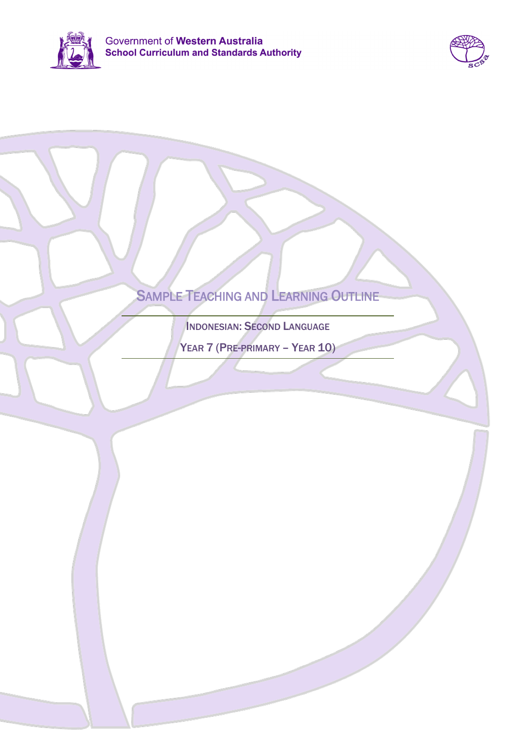



# SAMPLE TEACHING AND LEARNING OUTLINE

INDONESIAN: SECOND LANGUAGE

YEAR 7 (PRE-PRIMARY - YEAR 10)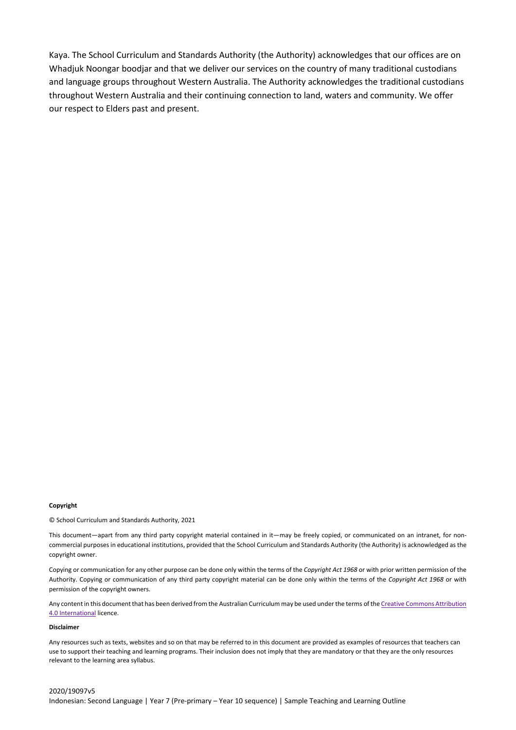Kaya. The School Curriculum and Standards Authority (the Authority) acknowledges that our offices are on Whadjuk Noongar boodjar and that we deliver our services on the country of many traditional custodians and language groups throughout Western Australia. The Authority acknowledges the traditional custodians throughout Western Australia and their continuing connection to land, waters and community. We offer our respect to Elders past and present.

#### **Copyright**

© School Curriculum and Standards Authority, 2021

This document—apart from any third party copyright material contained in it—may be freely copied, or communicated on an intranet, for noncommercial purposes in educational institutions, provided that the School Curriculum and Standards Authority (the Authority) is acknowledged as the copyright owner.

Copying or communication for any other purpose can be done only within the terms of the *Copyright Act 1968* or with prior written permission of the Authority. Copying or communication of any third party copyright material can be done only within the terms of the *Copyright Act 1968* or with permission of the copyright owners.

Any content in this document that has been derived from the Australian Curriculum may be used under the terms of the Creative Commons Attribution [4.0 International](https://creativecommons.org/licenses/by/4.0/) licence.

### **Disclaimer**

Any resources such as texts, websites and so on that may be referred to in this document are provided as examples of resources that teachers can use to support their teaching and learning programs. Their inclusion does not imply that they are mandatory or that they are the only resources relevant to the learning area syllabus.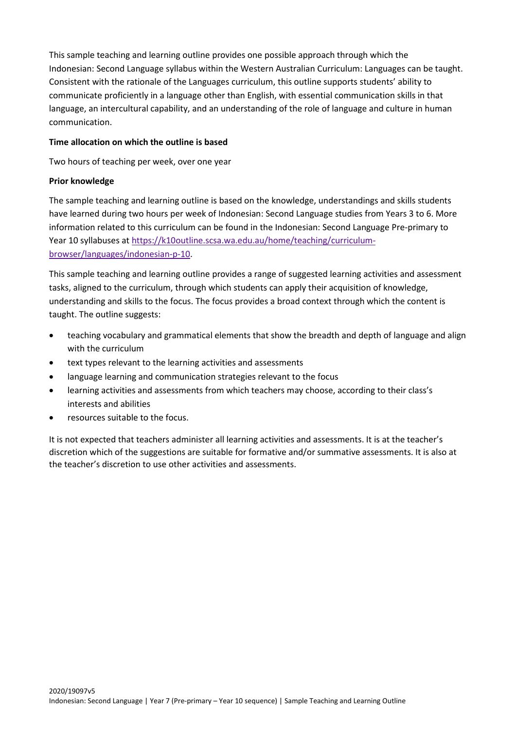This sample teaching and learning outline provides one possible approach through which the Indonesian: Second Language syllabus within the Western Australian Curriculum: Languages can be taught. Consistent with the rationale of the Languages curriculum, this outline supports students' ability to communicate proficiently in a language other than English, with essential communication skills in that language, an intercultural capability, and an understanding of the role of language and culture in human communication.

## **Time allocation on which the outline is based**

Two hours of teaching per week, over one year

## **Prior knowledge**

The sample teaching and learning outline is based on the knowledge, understandings and skills students have learned during two hours per week of Indonesian: Second Language studies from Years 3 to 6. More information related to this curriculum can be found in the Indonesian: Second Language Pre-primary to Year 10 syllabuses at [https://k10outline.scsa.wa.edu.au/home/teaching/curriculum](https://k10outline.scsa.wa.edu.au/home/teaching/curriculum-browser/languages/indonesian-p-10)[browser/languages/indonesian-p-10.](https://k10outline.scsa.wa.edu.au/home/teaching/curriculum-browser/languages/indonesian-p-10)

This sample teaching and learning outline provides a range of suggested learning activities and assessment tasks, aligned to the curriculum, through which students can apply their acquisition of knowledge, understanding and skills to the focus. The focus provides a broad context through which the content is taught. The outline suggests:

- teaching vocabulary and grammatical elements that show the breadth and depth of language and align with the curriculum
- text types relevant to the learning activities and assessments
- language learning and communication strategies relevant to the focus
- learning activities and assessments from which teachers may choose, according to their class's interests and abilities
- resources suitable to the focus.

It is not expected that teachers administer all learning activities and assessments. It is at the teacher's discretion which of the suggestions are suitable for formative and/or summative assessments. It is also at the teacher's discretion to use other activities and assessments.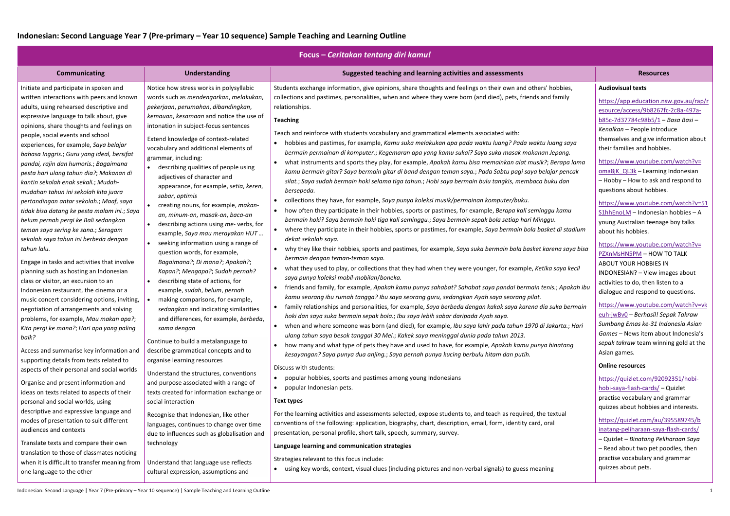|                                                                                                                                                                                                                                                                                                                                                                                                                                                                                                                                                                                                                                                                                                                                                                                                                                                                                                                                                                                                                                                                                                                                                                                                                                                                                                                                                                                                                                                                                     | Today Contanan tentang ani Kania.                                                                                                                                                                                                                                                                                                                                                                                                                                                                                                                                                                                                                                                                                                                                                                                                                                                                                                                                                                                                                                                                                                                                                                                                                                                                                                  |                                                                                                                                                                                                                                                                                                                                                                                                                                                                                                                                                                                                                                                                                                                                                                                                                                                                                                                                                                                                                                                                                                                                                                                                                                                                                                                                                                                                                                                                                                                                                                                                                                                                                                                                                                                                                                                                                                                                                                                                                                                                                                                                                                                                                                                                                                                                                                                                                                                                                                                                                                                                                                                                                                                                                                                                                                                                                 |                                                                                                                                                                                                                                                                                                                                                                                                                                                                                                                                                                                                                                                                                                                                                                                                                                                                                                                                                                                                                                                                                                                                                                                           |  |  |
|-------------------------------------------------------------------------------------------------------------------------------------------------------------------------------------------------------------------------------------------------------------------------------------------------------------------------------------------------------------------------------------------------------------------------------------------------------------------------------------------------------------------------------------------------------------------------------------------------------------------------------------------------------------------------------------------------------------------------------------------------------------------------------------------------------------------------------------------------------------------------------------------------------------------------------------------------------------------------------------------------------------------------------------------------------------------------------------------------------------------------------------------------------------------------------------------------------------------------------------------------------------------------------------------------------------------------------------------------------------------------------------------------------------------------------------------------------------------------------------|------------------------------------------------------------------------------------------------------------------------------------------------------------------------------------------------------------------------------------------------------------------------------------------------------------------------------------------------------------------------------------------------------------------------------------------------------------------------------------------------------------------------------------------------------------------------------------------------------------------------------------------------------------------------------------------------------------------------------------------------------------------------------------------------------------------------------------------------------------------------------------------------------------------------------------------------------------------------------------------------------------------------------------------------------------------------------------------------------------------------------------------------------------------------------------------------------------------------------------------------------------------------------------------------------------------------------------|---------------------------------------------------------------------------------------------------------------------------------------------------------------------------------------------------------------------------------------------------------------------------------------------------------------------------------------------------------------------------------------------------------------------------------------------------------------------------------------------------------------------------------------------------------------------------------------------------------------------------------------------------------------------------------------------------------------------------------------------------------------------------------------------------------------------------------------------------------------------------------------------------------------------------------------------------------------------------------------------------------------------------------------------------------------------------------------------------------------------------------------------------------------------------------------------------------------------------------------------------------------------------------------------------------------------------------------------------------------------------------------------------------------------------------------------------------------------------------------------------------------------------------------------------------------------------------------------------------------------------------------------------------------------------------------------------------------------------------------------------------------------------------------------------------------------------------------------------------------------------------------------------------------------------------------------------------------------------------------------------------------------------------------------------------------------------------------------------------------------------------------------------------------------------------------------------------------------------------------------------------------------------------------------------------------------------------------------------------------------------------------------------------------------------------------------------------------------------------------------------------------------------------------------------------------------------------------------------------------------------------------------------------------------------------------------------------------------------------------------------------------------------------------------------------------------------------------------------------------------------------|-------------------------------------------------------------------------------------------------------------------------------------------------------------------------------------------------------------------------------------------------------------------------------------------------------------------------------------------------------------------------------------------------------------------------------------------------------------------------------------------------------------------------------------------------------------------------------------------------------------------------------------------------------------------------------------------------------------------------------------------------------------------------------------------------------------------------------------------------------------------------------------------------------------------------------------------------------------------------------------------------------------------------------------------------------------------------------------------------------------------------------------------------------------------------------------------|--|--|
| <b>Communicating</b>                                                                                                                                                                                                                                                                                                                                                                                                                                                                                                                                                                                                                                                                                                                                                                                                                                                                                                                                                                                                                                                                                                                                                                                                                                                                                                                                                                                                                                                                | <b>Understanding</b>                                                                                                                                                                                                                                                                                                                                                                                                                                                                                                                                                                                                                                                                                                                                                                                                                                                                                                                                                                                                                                                                                                                                                                                                                                                                                                               | Suggested teaching and learning activities and assessments                                                                                                                                                                                                                                                                                                                                                                                                                                                                                                                                                                                                                                                                                                                                                                                                                                                                                                                                                                                                                                                                                                                                                                                                                                                                                                                                                                                                                                                                                                                                                                                                                                                                                                                                                                                                                                                                                                                                                                                                                                                                                                                                                                                                                                                                                                                                                                                                                                                                                                                                                                                                                                                                                                                                                                                                                      | <b>Resources</b>                                                                                                                                                                                                                                                                                                                                                                                                                                                                                                                                                                                                                                                                                                                                                                                                                                                                                                                                                                                                                                                                                                                                                                          |  |  |
| Initiate and participate in spoken and<br>written interactions with peers and known<br>adults, using rehearsed descriptive and<br>expressive language to talk about, give<br>opinions, share thoughts and feelings on<br>people, social events and school<br>experiences, for example, Saya belajar<br>bahasa Inggris.; Guru yang ideal, bersifat<br>pandai, rajin dan humoris.; Bagaimana<br>pesta hari ulang tahun dia?; Makanan di<br>kantin sekolah enak sekali.; Mudah-<br>mudahan tahun ini sekolah kita juara<br>pertandingan antar sekolah.; Maaf, saya<br>tidak bisa datang ke pesta malam ini.; Saya<br>belum pernah pergi ke Bali sedangkan<br>teman saya sering ke sana.; Seragam<br>sekolah saya tahun ini berbeda dengan<br>tahun lalu.<br>Engage in tasks and activities that involve<br>planning such as hosting an Indonesian<br>class or visitor, an excursion to an<br>Indonesian restaurant, the cinema or a<br>music concert considering options, inviting,<br>negotiation of arrangements and solving<br>problems, for example, Mau makan apa?;<br>Kita pergi ke mana?; Hari apa yang paling<br>baik?<br>Access and summarise key information and<br>supporting details from texts related to<br>aspects of their personal and social worlds<br>Organise and present information and<br>ideas on texts related to aspects of their<br>personal and social worlds, using<br>descriptive and expressive language and<br>modes of presentation to suit different | Notice how stress works in polysyllabic<br>words such as mendengarkan, melakukan,<br>pekerjaan, perumahan, dibandingkan,<br>kemauan, kesamaan and notice the use of<br>intonation in subject-focus sentences<br>Extend knowledge of context-related<br>vocabulary and additional elements of<br>grammar, including:<br>• describing qualities of people using<br>adjectives of character and<br>appearance, for example, setia, keren,<br>sabar, optimis<br>creating nouns, for example, makan-<br>an, minum-an, masak-an, baca-an<br>describing actions using me- verbs, for<br>example, Saya mau merayakan HUT<br>seeking information using a range of<br>question words, for example,<br>Bagaimana?; Di mana?; Apakah?;<br>Kapan?; Mengapa?; Sudah pernah?<br>describing state of actions, for<br>example, sudah, belum, pernah<br>making comparisons, for example,<br>sedangkan and indicating similarities<br>and differences, for example, berbeda,<br>sama dengan<br>Continue to build a metalanguage to<br>describe grammatical concepts and to<br>organise learning resources<br>Understand the structures, conventions<br>and purpose associated with a range of<br>texts created for information exchange or<br>social interaction<br>Recognise that Indonesian, like other<br>languages, continues to change over time | Students exchange information, give opinions, share thoughts and feelings on their own and others' hobbies,<br>collections and pastimes, personalities, when and where they were born (and died), pets, friends and family<br>relationships.<br><b>Teaching</b><br>Teach and reinforce with students vocabulary and grammatical elements associated with:<br>• hobbies and pastimes, for example, Kamu suka melakukan apa pada waktu luang? Pada waktu luang saya<br>bermain permainan di komputer.; Kegemaran apa yang kamu sukai? Saya suka masak makanan Jepang.<br>what instruments and sports they play, for example, Apakah kamu bisa memainkan alat musik?; Berapa lama<br>kamu bermain gitar? Saya bermain gitar di band dengan teman saya.; Pada Sabtu pagi saya belajar pencak<br>silat.; Saya sudah bermain hoki selama tiga tahun.; Hobi saya bermain bulu tangkis, membaca buku dan<br>bersepeda.<br>collections they have, for example, Saya punya koleksi musik/permainan komputer/buku.<br>• how often they participate in their hobbies, sports or pastimes, for example, Berapa kali seminggu kamu<br>bermain hoki? Saya bermain hoki tiga kali seminggu.; Saya bermain sepak bola setiap hari Minggu.<br>where they participate in their hobbies, sports or pastimes, for example, Saya bermain bola basket di stadium<br>dekat sekolah saya.<br>why they like their hobbies, sports and pastimes, for example, Saya suka bermain bola basket karena saya bisa<br>bermain dengan teman-teman saya.<br>what they used to play, or collections that they had when they were younger, for example, Ketika saya kecil<br>saya punya koleksi mobil-mobilan/boneka.<br>friends and family, for example, Apakah kamu punya sahabat? Sahabat saya pandai bermain tenis.; Apakah ibu<br>kamu seorang ibu rumah tangga? Ibu saya seorang guru, sedangkan Ayah saya seorang pilot.<br>• family relationships and personalities, for example, Saya berbeda dengan kakak saya karena dia suka bermain<br>hoki dan saya suka bermain sepak bola.; Ibu saya lebih sabar daripada Ayah saya.<br>• when and where someone was born (and died), for example, Ibu saya lahir pada tahun 1970 di Jakarta.; Hari<br>ulang tahun saya besok tanggal 30 Mei.; Kakek saya meninggal dunia pada tahun 2013.<br>• how many and what type of pets they have and used to have, for example, Apakah kamu punya binatang<br>kesayangan? Saya punya dua anjing.; Saya pernah punya kucing berbulu hitam dan putih.<br>Discuss with students:<br>popular hobbies, sports and pastimes among young Indonesians<br>popular Indonesian pets.<br><b>Text types</b><br>For the learning activities and assessments selected, expose students to, and teach as required, the textual<br>conventions of the following: application, biography, chart, description, email, form, identity card, oral | <b>Audiovisual texts</b><br>https://app.education.nsw.gov.au/rap/r<br>esource/access/9b8267fc-2c8a-497a-<br>b85c-7d37784c98b5/1 - Basa Basi -<br>Kenalkan - People introduce<br>themselves and give information about<br>their families and hobbies.<br>https://www.youtube.com/watch?v=<br>oma8jK QL3k - Learning Indonesian<br>- Hobby - How to ask and respond to<br>questions about hobbies.<br>https://www.youtube.com/watch?v=51<br>S1hhEnoLM - Indonesian hobbies - A<br>young Australian teenage boy talks<br>about his hobbies.<br>https://www.youtube.com/watch?v=<br>PZXnMsHN5PM - HOW TO TALK<br>ABOUT YOUR HOBBIES IN<br>INDONESIAN? - View images about<br>activities to do, then listen to a<br>dialogue and respond to questions.<br>https://www.youtube.com/watch?v=vk<br>euh-jwBv0 - Berhasil! Sepak Takraw<br>Sumbang Emas ke-31 Indonesia Asian<br>Games - News item about Indonesia's<br>sepak takraw team winning gold at the<br>Asian games.<br><b>Online resources</b><br>https://quizlet.com/92092351/hobi-<br>hobi-saya-flash-cards/ - Quizlet<br>practise vocabulary and grammar<br>quizzes about hobbies and interests.<br>https://quizlet.com/au/395589745/b |  |  |
| audiences and contexts<br>Translate texts and compare their own<br>translation to those of classmates noticing<br>when it is difficult to transfer meaning from<br>one language to the other                                                                                                                                                                                                                                                                                                                                                                                                                                                                                                                                                                                                                                                                                                                                                                                                                                                                                                                                                                                                                                                                                                                                                                                                                                                                                        | due to influences such as globalisation and<br>technology<br>Understand that language use reflects<br>cultural expression, assumptions and                                                                                                                                                                                                                                                                                                                                                                                                                                                                                                                                                                                                                                                                                                                                                                                                                                                                                                                                                                                                                                                                                                                                                                                         | presentation, personal profile, short talk, speech, summary, survey.<br>Language learning and communication strategies<br>Strategies relevant to this focus include:<br>• using key words, context, visual clues (including pictures and non-verbal signals) to guess meaning                                                                                                                                                                                                                                                                                                                                                                                                                                                                                                                                                                                                                                                                                                                                                                                                                                                                                                                                                                                                                                                                                                                                                                                                                                                                                                                                                                                                                                                                                                                                                                                                                                                                                                                                                                                                                                                                                                                                                                                                                                                                                                                                                                                                                                                                                                                                                                                                                                                                                                                                                                                                   | inatang-peliharaan-saya-flash-cards/<br>- Quizlet - Binatang Peliharaan Saya<br>- Read about two pet poodles, then<br>practise vocabulary and grammar<br>quizzes about pets.                                                                                                                                                                                                                                                                                                                                                                                                                                                                                                                                                                                                                                                                                                                                                                                                                                                                                                                                                                                                              |  |  |
|                                                                                                                                                                                                                                                                                                                                                                                                                                                                                                                                                                                                                                                                                                                                                                                                                                                                                                                                                                                                                                                                                                                                                                                                                                                                                                                                                                                                                                                                                     |                                                                                                                                                                                                                                                                                                                                                                                                                                                                                                                                                                                                                                                                                                                                                                                                                                                                                                                                                                                                                                                                                                                                                                                                                                                                                                                                    |                                                                                                                                                                                                                                                                                                                                                                                                                                                                                                                                                                                                                                                                                                                                                                                                                                                                                                                                                                                                                                                                                                                                                                                                                                                                                                                                                                                                                                                                                                                                                                                                                                                                                                                                                                                                                                                                                                                                                                                                                                                                                                                                                                                                                                                                                                                                                                                                                                                                                                                                                                                                                                                                                                                                                                                                                                                                                 |                                                                                                                                                                                                                                                                                                                                                                                                                                                                                                                                                                                                                                                                                                                                                                                                                                                                                                                                                                                                                                                                                                                                                                                           |  |  |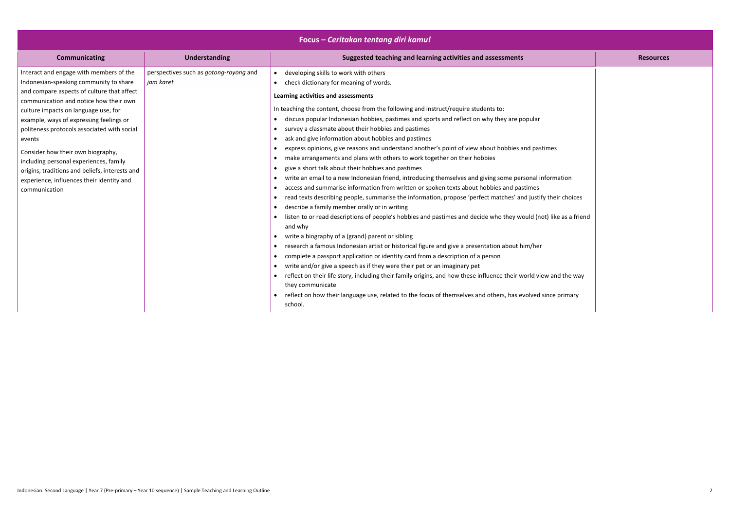| Focus - Ceritakan tentang diri kamu!                                                                                                                                                                                                                                                                                                                                                                                                                                                                                 |                                                     |                                                                                                                                                                                                                                                                                                                                                                                                                                                                                                                                                                                                                                                                                                                                                                                                                                                                                                                                                                                                                                                                                                                                                                                                                                                                                                                                                                                                                                                                                                                                                                                                                                                                                                                                                                                                                                                                              |                  |  |
|----------------------------------------------------------------------------------------------------------------------------------------------------------------------------------------------------------------------------------------------------------------------------------------------------------------------------------------------------------------------------------------------------------------------------------------------------------------------------------------------------------------------|-----------------------------------------------------|------------------------------------------------------------------------------------------------------------------------------------------------------------------------------------------------------------------------------------------------------------------------------------------------------------------------------------------------------------------------------------------------------------------------------------------------------------------------------------------------------------------------------------------------------------------------------------------------------------------------------------------------------------------------------------------------------------------------------------------------------------------------------------------------------------------------------------------------------------------------------------------------------------------------------------------------------------------------------------------------------------------------------------------------------------------------------------------------------------------------------------------------------------------------------------------------------------------------------------------------------------------------------------------------------------------------------------------------------------------------------------------------------------------------------------------------------------------------------------------------------------------------------------------------------------------------------------------------------------------------------------------------------------------------------------------------------------------------------------------------------------------------------------------------------------------------------------------------------------------------------|------------------|--|
| <b>Communicating</b>                                                                                                                                                                                                                                                                                                                                                                                                                                                                                                 | <b>Understanding</b>                                | Suggested teaching and learning activities and assessments                                                                                                                                                                                                                                                                                                                                                                                                                                                                                                                                                                                                                                                                                                                                                                                                                                                                                                                                                                                                                                                                                                                                                                                                                                                                                                                                                                                                                                                                                                                                                                                                                                                                                                                                                                                                                   | <b>Resources</b> |  |
| Interact and engage with members of the<br>Indonesian-speaking community to share<br>and compare aspects of culture that affect<br>communication and notice how their own<br>culture impacts on language use, for<br>example, ways of expressing feelings or<br>politeness protocols associated with social<br>events<br>Consider how their own biography,<br>including personal experiences, family<br>origins, traditions and beliefs, interests and<br>experience, influences their identity and<br>communication | perspectives such as gotong-royong and<br>jam karet | • developing skills to work with others<br>check dictionary for meaning of words.<br>Learning activities and assessments<br>In teaching the content, choose from the following and instruct/require students to:<br>discuss popular Indonesian hobbies, pastimes and sports and reflect on why they are popular<br>survey a classmate about their hobbies and pastimes<br>$\bullet$<br>ask and give information about hobbies and pastimes<br>express opinions, give reasons and understand another's point of view about hobbies and pastimes<br>make arrangements and plans with others to work together on their hobbies<br>$\bullet$<br>give a short talk about their hobbies and pastimes<br>$\bullet$<br>write an email to a new Indonesian friend, introducing themselves and giving some personal information<br>$\bullet$<br>access and summarise information from written or spoken texts about hobbies and pastimes<br>read texts describing people, summarise the information, propose 'perfect matches' and justify their choices<br>$\bullet$<br>describe a family member orally or in writing<br>listen to or read descriptions of people's hobbies and pastimes and decide who they would (not) like as a friend<br>and why<br>write a biography of a (grand) parent or sibling<br>$\bullet$<br>research a famous Indonesian artist or historical figure and give a presentation about him/her<br>complete a passport application or identity card from a description of a person<br>$\bullet$<br>write and/or give a speech as if they were their pet or an imaginary pet<br>$\bullet$<br>reflect on their life story, including their family origins, and how these influence their world view and the way<br>they communicate<br>• reflect on how their language use, related to the focus of themselves and others, has evolved since primary<br>school. |                  |  |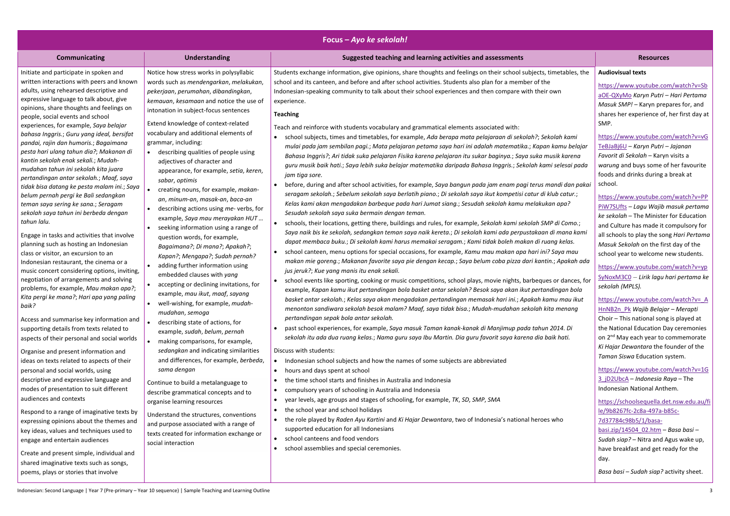| Focus - Ayo ke sekolah!                                                                                                                                                                                                                                                                                                                                                                                                                                                                                                                                                                                                                                                                                                                                                                                                                                                                                                                                                                                                                                                                                                                                                                                                                                            |                                                                                                                                                                                                                                                                                                                                                                                                                                                                                                                                                                                                                                                                                                                                                                                                                                                                                                                                                                                                                                                 |                                                                                                                                                                                                                                                                                                                                                                                                                                                                                                                                                                                                                                                                                                                                                                                                                                                                                                                                                                                                                                                                                                                                                                                                                                                                                                                                                                                                                                                                                                                                                                                                                                                                                                                                                                                                                                                                                                                                                                                                                                                                                                                                                                                                                                                                                                                                                                                                                                                                                                                                                                                                                                                                          |                                                                                                                                                                                                                                                                                                                                                                                                                                                                                                                                                                                                                                                                                                                                                                                                                                                                                                                                                                                                                                        |  |
|--------------------------------------------------------------------------------------------------------------------------------------------------------------------------------------------------------------------------------------------------------------------------------------------------------------------------------------------------------------------------------------------------------------------------------------------------------------------------------------------------------------------------------------------------------------------------------------------------------------------------------------------------------------------------------------------------------------------------------------------------------------------------------------------------------------------------------------------------------------------------------------------------------------------------------------------------------------------------------------------------------------------------------------------------------------------------------------------------------------------------------------------------------------------------------------------------------------------------------------------------------------------|-------------------------------------------------------------------------------------------------------------------------------------------------------------------------------------------------------------------------------------------------------------------------------------------------------------------------------------------------------------------------------------------------------------------------------------------------------------------------------------------------------------------------------------------------------------------------------------------------------------------------------------------------------------------------------------------------------------------------------------------------------------------------------------------------------------------------------------------------------------------------------------------------------------------------------------------------------------------------------------------------------------------------------------------------|--------------------------------------------------------------------------------------------------------------------------------------------------------------------------------------------------------------------------------------------------------------------------------------------------------------------------------------------------------------------------------------------------------------------------------------------------------------------------------------------------------------------------------------------------------------------------------------------------------------------------------------------------------------------------------------------------------------------------------------------------------------------------------------------------------------------------------------------------------------------------------------------------------------------------------------------------------------------------------------------------------------------------------------------------------------------------------------------------------------------------------------------------------------------------------------------------------------------------------------------------------------------------------------------------------------------------------------------------------------------------------------------------------------------------------------------------------------------------------------------------------------------------------------------------------------------------------------------------------------------------------------------------------------------------------------------------------------------------------------------------------------------------------------------------------------------------------------------------------------------------------------------------------------------------------------------------------------------------------------------------------------------------------------------------------------------------------------------------------------------------------------------------------------------------------------------------------------------------------------------------------------------------------------------------------------------------------------------------------------------------------------------------------------------------------------------------------------------------------------------------------------------------------------------------------------------------------------------------------------------------------------------------------------------------|----------------------------------------------------------------------------------------------------------------------------------------------------------------------------------------------------------------------------------------------------------------------------------------------------------------------------------------------------------------------------------------------------------------------------------------------------------------------------------------------------------------------------------------------------------------------------------------------------------------------------------------------------------------------------------------------------------------------------------------------------------------------------------------------------------------------------------------------------------------------------------------------------------------------------------------------------------------------------------------------------------------------------------------|--|
| <b>Communicating</b>                                                                                                                                                                                                                                                                                                                                                                                                                                                                                                                                                                                                                                                                                                                                                                                                                                                                                                                                                                                                                                                                                                                                                                                                                                               | <b>Understanding</b>                                                                                                                                                                                                                                                                                                                                                                                                                                                                                                                                                                                                                                                                                                                                                                                                                                                                                                                                                                                                                            | Suggested teaching and learning activities and assessments                                                                                                                                                                                                                                                                                                                                                                                                                                                                                                                                                                                                                                                                                                                                                                                                                                                                                                                                                                                                                                                                                                                                                                                                                                                                                                                                                                                                                                                                                                                                                                                                                                                                                                                                                                                                                                                                                                                                                                                                                                                                                                                                                                                                                                                                                                                                                                                                                                                                                                                                                                                                               | <b>Resources</b>                                                                                                                                                                                                                                                                                                                                                                                                                                                                                                                                                                                                                                                                                                                                                                                                                                                                                                                                                                                                                       |  |
| Initiate and participate in spoken and<br>written interactions with peers and known<br>adults, using rehearsed descriptive and<br>expressive language to talk about, give<br>opinions, share thoughts and feelings on<br>people, social events and school<br>experiences, for example, Saya belajar<br>bahasa Inggris.; Guru yang ideal, bersifat<br>pandai, rajin dan humoris.; Bagaimana<br>pesta hari ulang tahun dia?; Makanan di<br>kantin sekolah enak sekali.; Mudah-<br>mudahan tahun ini sekolah kita juara<br>pertandingan antar sekolah.; Maaf, saya<br>tidak bisa datang ke pesta malam ini.; Saya<br>belum pernah pergi ke Bali sedangkan<br>teman saya sering ke sana.; Seragam<br>sekolah saya tahun ini berbeda dengan<br>tahun lalu.<br>Engage in tasks and activities that involve<br>planning such as hosting an Indonesian<br>class or visitor, an excursion to an<br>Indonesian restaurant, the cinema or a<br>music concert considering options, inviting,<br>negotiation of arrangements and solving<br>problems, for example, Mau makan apa?;<br>Kita pergi ke mana?; Hari apa yang paling<br>baik?<br>Access and summarise key information and<br>supporting details from texts related to<br>aspects of their personal and social worlds | Notice how stress works in polysyllabic<br>words such as mendengarkan, melakukan,<br>pekerjaan, perumahan, dibandingkan,<br>kemauan, kesamaan and notice the use of<br>intonation in subject-focus sentences<br>Extend knowledge of context-related<br>vocabulary and additional elements of<br>grammar, including:<br>describing qualities of people using<br>adjectives of character and<br>appearance, for example, setia, keren,<br>sabar, optimis<br>creating nouns, for example, makan-<br>an, minum-an, masak-an, baca-an<br>describing actions using me- verbs, for<br>example, Saya mau merayakan HUT<br>seeking information using a range of<br>question words, for example,<br>Bagaimana?; Di mana?; Apakah?;<br>Kapan?; Mengapa?; Sudah pernah?<br>adding further information using<br>embedded clauses with yang<br>accepting or declining invitations, for<br>example, mau ikut, maaf, sayang<br>well-wishing, for example, <i>mudah-</i><br>mudahan, semoga<br>describing state of actions, for<br>example, sudah, belum, pernah | Students exchange information, give opinions, share thoughts and feelings on their school subjects, timetables, the<br>school and its canteen, and before and after school activities. Students also plan for a member of the<br>Indonesian-speaking community to talk about their school experiences and then compare with their own<br>experience.<br><b>Teaching</b><br>Teach and reinforce with students vocabulary and grammatical elements associated with:<br>school subjects, times and timetables, for example, Ada berapa mata pelajaraan di sekolah?; Sekolah kami<br>mulai pada jam sembilan pagi.; Mata pelajaran petama saya hari ini adalah matematika.; Kapan kamu belajar<br>Bahasa Inggris?; Ari tidak suka pelajaran Fisika karena pelajaran itu sukar baginya.; Saya suka musik karena<br>guru musik baik hati.; Saya lebih suka belajar matematika daripada Bahasa Inggris.; Sekolah kami selesai pada<br>jam tiga sore.<br>before, during and after school activities, for example, Saya bangun pada jam enam pagi terus mandi dan pakai<br>seragam sekolah.; Sebelum sekolah saya berlatih piano.; Di sekolah saya ikut kompetisi catur di klub catur.;<br>Kelas kami akan mengadakan barbeque pada hari Jumat siang.; Sesudah sekolah kamu melakukan apa?<br>Sesudah sekolah saya suka bermain dengan teman.<br>schools, their locations, getting there, buildings and rules, for example, Sekolah kami sekolah SMP di Como.;<br>Saya naik bis ke sekolah, sedangkan teman saya naik kereta.; Di sekolah kami ada perpustakaan di mana kami<br>dapat membaca buku.; Di sekolah kami harus memakai seragam.; Kami tidak boleh makan di ruang kelas.<br>school canteen, menu options for special occasions, for example, Kamu mau makan apa hari ini? Saya mau<br>$\bullet$<br>makan mie goreng.; Makanan favorite saya pie dengan kecap.; Saya belum coba pizza dari kantin.; Apakah ada<br>jus jeruk?; Kue yang manis itu enak sekali.<br>school events like sporting, cooking or music competitions, school plays, movie nights, barbeques or dances, for<br>example, Kapan kamu ikut pertandingan bola basket antar sekolah? Besok saya akan ikut pertandingan bola<br>basket antar sekolah.; Kelas saya akan mengadakan pertandingan memasak hari ini.; Apakah kamu mau ikut<br>menonton sandiwara sekolah besok malam? Maaf, saya tidak bisa.; Mudah-mudahan sekolah kita menang<br>pertandingan sepak bola antar sekolah.<br>past school experiences, for example, Saya masuk Taman kanak-kanak di Manjimup pada tahun 2014. Di<br>sekolah itu ada dua ruang kelas.; Nama guru saya Ibu Martin. Dia guru favorit saya karena dia baik hati. | <b>Audiovisual texts</b><br>https://www.youtube.com/watch?v=Sb<br>aOE-QXyMo Karyn Putri - Hari Pertama<br>Masuk SMP! - Karyn prepares for, and<br>shares her experience of, her first day at<br>SMP.<br>https://www.youtube.com/watch?v=vG<br>TeBJaBj6U - Karyn Putri - Jajanan<br>Favorit di Sekolah - Karyn visits a<br>warung and buys some of her favourite<br>foods and drinks during a break at<br>school.<br>https://www.youtube.com/watch?v=PP<br>PiW7SUfts - Lagu Wajib masuk pertama<br>ke sekolah - The Minister for Education<br>and Culture has made it compulsory for<br>all schools to play the song Hari Pertama<br>Masuk Sekolah on the first day of the<br>school year to welcome new students.<br>https://www.youtube.com/watch?v=yp<br>SyNoxM3C0 - Lirik lagu hari pertama ke<br>sekolah (MPLS).<br>https://www.youtube.com/watch?v= A<br>HnNB2n Pk Wajib Belajar - Merapti<br>Choir - This national song is played at<br>the National Education Day ceremonies<br>on 2 <sup>nd</sup> May each year to commemorate |  |
| Organise and present information and<br>ideas on texts related to aspects of their<br>personal and social worlds, using<br>descriptive and expressive language and<br>modes of presentation to suit different                                                                                                                                                                                                                                                                                                                                                                                                                                                                                                                                                                                                                                                                                                                                                                                                                                                                                                                                                                                                                                                      | making comparisons, for example,<br>sedangkan and indicating similarities<br>and differences, for example, berbeda,<br>sama dengan<br>Continue to build a metalanguage to                                                                                                                                                                                                                                                                                                                                                                                                                                                                                                                                                                                                                                                                                                                                                                                                                                                                       | Discuss with students:<br>Indonesian school subjects and how the names of some subjects are abbreviated<br>hours and days spent at school<br>$\bullet$<br>the time school starts and finishes in Australia and Indonesia<br>$\bullet$<br>compulsory years of schooling in Australia and Indonesia<br>$\bullet$                                                                                                                                                                                                                                                                                                                                                                                                                                                                                                                                                                                                                                                                                                                                                                                                                                                                                                                                                                                                                                                                                                                                                                                                                                                                                                                                                                                                                                                                                                                                                                                                                                                                                                                                                                                                                                                                                                                                                                                                                                                                                                                                                                                                                                                                                                                                                           | Ki Hajar Dewantara the founder of the<br>Taman Siswa Education system.<br>https://www.youtube.com/watch?v=1G<br>3 jD2UbcA - Indonesia Raya - The<br>Indonesian National Anthem.                                                                                                                                                                                                                                                                                                                                                                                                                                                                                                                                                                                                                                                                                                                                                                                                                                                        |  |
| audiences and contexts<br>Respond to a range of imaginative texts by<br>expressing opinions about the themes and<br>key ideas, values and techniques used to<br>engage and entertain audiences<br>Create and present simple, individual and<br>shared imaginative texts such as songs,<br>poems, plays or stories that involve                                                                                                                                                                                                                                                                                                                                                                                                                                                                                                                                                                                                                                                                                                                                                                                                                                                                                                                                     | describe grammatical concepts and to<br>organise learning resources<br>Understand the structures, conventions<br>and purpose associated with a range of<br>texts created for information exchange or<br>social interaction                                                                                                                                                                                                                                                                                                                                                                                                                                                                                                                                                                                                                                                                                                                                                                                                                      | year levels, age groups and stages of schooling, for example, TK, SD, SMP, SMA<br>$\bullet$<br>the school year and school holidays<br>$\bullet$<br>the role played by Raden Ayu Kartini and Ki Hajar Dewantara, two of Indonesia's national heroes who<br>$\bullet$<br>supported education for all Indonesians<br>school canteens and food vendors<br>$\bullet$<br>school assemblies and special ceremonies.<br>$\bullet$                                                                                                                                                                                                                                                                                                                                                                                                                                                                                                                                                                                                                                                                                                                                                                                                                                                                                                                                                                                                                                                                                                                                                                                                                                                                                                                                                                                                                                                                                                                                                                                                                                                                                                                                                                                                                                                                                                                                                                                                                                                                                                                                                                                                                                                | https://schoolsequella.det.nsw.edu.au/fi<br>le/9b8267fc-2c8a-497a-b85c-<br>7d37784c98b5/1/basa-<br>basi.zip/14504 02.htm - Basa basi -<br>Sudah siap? - Nitra and Agus wake up,<br>have breakfast and get ready for the<br>day.<br>Basa basi - Sudah siap? activity sheet.                                                                                                                                                                                                                                                                                                                                                                                                                                                                                                                                                                                                                                                                                                                                                             |  |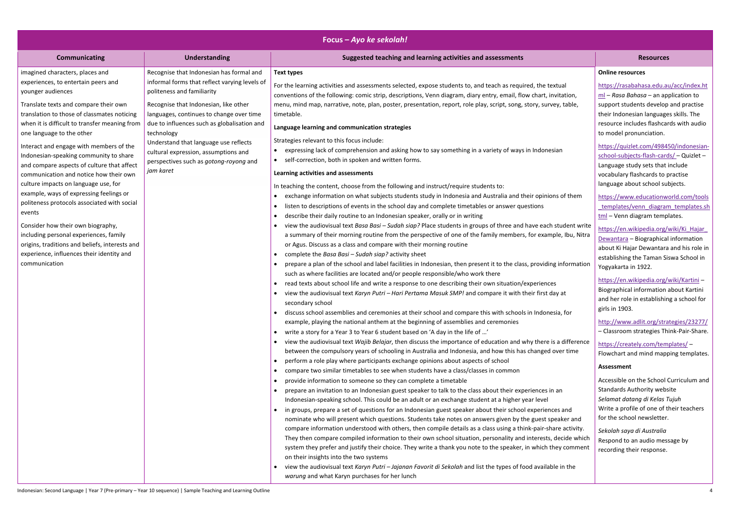|                                                |                                               | Focus – Ayo ke sekolah!                                                                                              |                                                   |
|------------------------------------------------|-----------------------------------------------|----------------------------------------------------------------------------------------------------------------------|---------------------------------------------------|
| <b>Communicating</b>                           | <b>Understanding</b>                          | Suggested teaching and learning activities and assessments                                                           | <b>Resources</b>                                  |
| imagined characters, places and                | Recognise that Indonesian has formal and      | <b>Text types</b>                                                                                                    | <b>Online resources</b>                           |
| experiences, to entertain peers and            | informal forms that reflect varying levels of | For the learning activities and assessments selected, expose students to, and teach as required, the textual         | https://rasabahasa.edu.ar                         |
| younger audiences                              | politeness and familiarity                    | conventions of the following: comic strip, descriptions, Venn diagram, diary entry, email, flow chart, invitation,   | ml - Rasa Bahasa - an ap                          |
| Translate texts and compare their own          | Recognise that Indonesian, like other         | menu, mind map, narrative, note, plan, poster, presentation, report, role play, script, song, story, survey, table,  | support students develop                          |
| translation to those of classmates noticing    | languages, continues to change over time      | timetable.                                                                                                           | their Indonesian language                         |
| when it is difficult to transfer meaning from  | due to influences such as globalisation and   | Language learning and communication strategies                                                                       | resource includes flashcar                        |
| one language to the other                      | technology                                    |                                                                                                                      | to model pronunciation.                           |
| Interact and engage with members of the        | Understand that language use reflects         | Strategies relevant to this focus include:                                                                           | https://quizlet.com/4984                          |
| Indonesian-speaking community to share         | cultural expression, assumptions and          | expressing lack of comprehension and asking how to say something in a variety of ways in Indonesian                  | school-subjects-flash-card                        |
| and compare aspects of culture that affect     | perspectives such as gotong-royong and        | self-correction, both in spoken and written forms.                                                                   | Language study sets that                          |
| communication and notice how their own         | jam karet                                     | Learning activities and assessments                                                                                  | vocabulary flashcards to p                        |
| culture impacts on language use, for           |                                               | In teaching the content, choose from the following and instruct/require students to:                                 | language about school sul                         |
| example, ways of expressing feelings or        |                                               | exchange information on what subjects students study in Indonesia and Australia and their opinions of them           |                                                   |
| politeness protocols associated with social    |                                               | listen to descriptions of events in the school day and complete timetables or answer questions<br>$\bullet$          | https://www.educationw                            |
| events                                         |                                               | describe their daily routine to an Indonesian speaker, orally or in writing                                          | templates/venn diagran<br>tml - Venn diagram temp |
| Consider how their own biography,              |                                               | view the audiovisual text Basa Basi - Sudah siap? Place students in groups of three and have each student write      |                                                   |
| including personal experiences, family         |                                               | a summary of their morning routine from the perspective of one of the family members, for example, Ibu, Nitra        | https://en.wikipedia.org/                         |
| origins, traditions and beliefs, interests and |                                               | or Agus. Discuss as a class and compare with their morning routine                                                   | Dewantara - Biographical                          |
| experience, influences their identity and      |                                               | complete the Basa Basi - Sudah siap? activity sheet                                                                  | about Ki Hajar Dewantara                          |
| communication                                  |                                               | prepare a plan of the school and label facilities in Indonesian, then present it to the class, providing information | establishing the Taman Sis                        |
|                                                |                                               | such as where facilities are located and/or people responsible/who work there                                        | Yogyakarta in 1922.                               |
|                                                |                                               | read texts about school life and write a response to one describing their own situation/experiences                  | https://en.wikipedia.org/                         |
|                                                |                                               | view the audiovisual text Karyn Putri - Hari Pertama Masuk SMP! and compare it with their first day at               | <b>Biographical information</b>                   |
|                                                |                                               | secondary school                                                                                                     | and her role in establishin                       |
|                                                |                                               | discuss school assemblies and ceremonies at their school and compare this with schools in Indonesia, for             | girls in 1903.                                    |
|                                                |                                               | example, playing the national anthem at the beginning of assemblies and ceremonies                                   | http://www.adlit.org/stra                         |
|                                                |                                               | write a story for a Year 3 to Year 6 student based on 'A day in the life of '                                        | - Classroom strategies Th                         |
|                                                |                                               | view the audiovisual text Wajib Belajar, then discuss the importance of education and why there is a difference      | https://creately.com/tem                          |
|                                                |                                               | between the compulsory years of schooling in Australia and Indonesia, and how this has changed over time             | Flowchart and mind mapp                           |
|                                                |                                               | perform a role play where participants exchange opinions about aspects of school                                     |                                                   |
|                                                |                                               | compare two similar timetables to see when students have a class/classes in common                                   | Assessment                                        |
|                                                |                                               | provide information to someone so they can complete a timetable                                                      | Accessible on the School (                        |
|                                                |                                               | prepare an invitation to an Indonesian guest speaker to talk to the class about their experiences in an              | <b>Standards Authority webs</b>                   |
|                                                |                                               | Indonesian-speaking school. This could be an adult or an exchange student at a higher year level                     | Selamat datang di Kelas T                         |
|                                                |                                               | in groups, prepare a set of questions for an Indonesian guest speaker about their school experiences and             | Write a profile of one of t                       |
|                                                |                                               | nominate who will present which questions. Students take notes on answers given by the guest speaker and             | for the school newsletter.                        |
|                                                |                                               | compare information understood with others, then compile details as a class using a think-pair-share activity.       | Sekolah saya di Australia                         |
|                                                |                                               | They then compare compiled information to their own school situation, personality and interests, decide which        | Respond to an audio mess                          |
|                                                |                                               | system they prefer and justify their choice. They write a thank you note to the speaker, in which they comment       | recording their response.                         |
|                                                |                                               | on their insights into the two systems                                                                               |                                                   |
|                                                |                                               | view the audiovisual text Karyn Putri - Jajanan Favorit di Sekolah and list the types of food available in the       |                                                   |
|                                                |                                               | warung and what Karyn purchases for her lunch                                                                        |                                                   |

|                                                   | <b>Resources</b>                                                                                                                                                                                                                          |
|---------------------------------------------------|-------------------------------------------------------------------------------------------------------------------------------------------------------------------------------------------------------------------------------------------|
|                                                   | <b>Online resources</b>                                                                                                                                                                                                                   |
| extual<br>nvitation,<br>ey, table,                | https://rasabahasa.edu.au/acc/index.ht<br>$mI - Rasa Bahasa - an application to$<br>support students develop and practise<br>their Indonesian languages skills. The<br>resource includes flashcards with audio<br>to model pronunciation. |
| sian                                              | https://quizlet.com/498450/indonesian-<br>school-subjects-flash-cards/ - Quizlet -<br>Language study sets that include<br>vocabulary flashcards to practise<br>language about school subjects.                                            |
| ns of them                                        | https://www.educationworld.com/tools<br>templates/venn diagram templates.sh<br>tml - Venn diagram templates.                                                                                                                              |
| student write<br>ple, Ibu, Nitra<br>g information | https://en.wikipedia.org/wiki/Ki Hajar<br>Dewantara - Biographical information<br>about Ki Hajar Dewantara and his role in<br>establishing the Taman Siswa School in<br>Yogyakarta in 1922.                                               |
| ΞS<br>lay at<br>esia, for                         | https://en.wikipedia.org/wiki/Kartini-<br>Biographical information about Kartini<br>and her role in establishing a school for<br>girls in 1903.                                                                                           |
|                                                   | http://www.adlit.org/strategies/23277/<br>- Classroom strategies Think-Pair-Share.                                                                                                                                                        |
| is a difference<br>over time                      | https://creately.com/templates/ -<br>Flowchart and mind mapping templates.                                                                                                                                                                |
|                                                   | <b>Assessment</b>                                                                                                                                                                                                                         |
| า an<br>ces and<br>beaker and                     | Accessible on the School Curriculum and<br><b>Standards Authority website</b><br>Selamat datang di Kelas Tujuh<br>Write a profile of one of their teachers<br>for the school newsletter.                                                  |
| are activity.<br>decide which<br>hey comment      | Sekolah saya di Australia<br>Respond to an audio message by<br>recording their response.                                                                                                                                                  |
| le in the                                         |                                                                                                                                                                                                                                           |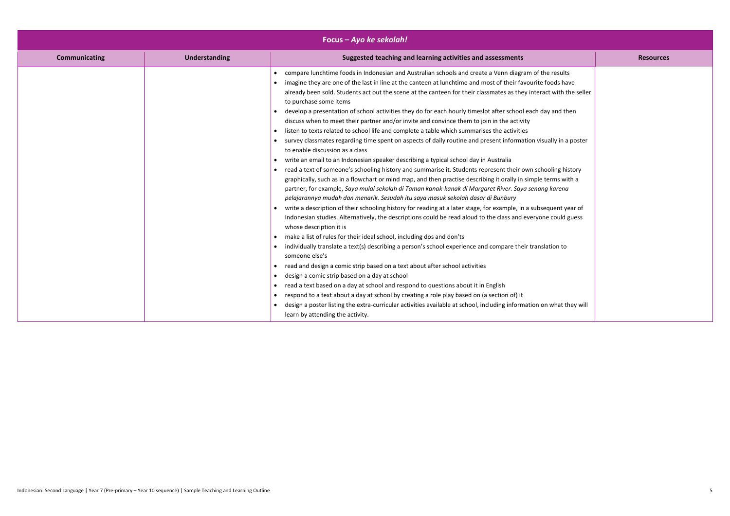| Focus – Ayo ke sekolah! |                      |                                                                                                                                                                                                                                                                                                                                                                                                                                                                                                                                                                                                                                                                                                                                                                                                                                                                                                                                                                                                                                                                                                                                                                                                                                                                                                                                                                                                                                                                                                                                                                                                                                                                                                                                                                                                                                                                                                                                                                                                                                                                                                                                                                                                                                                                                                                     |                  |  |
|-------------------------|----------------------|---------------------------------------------------------------------------------------------------------------------------------------------------------------------------------------------------------------------------------------------------------------------------------------------------------------------------------------------------------------------------------------------------------------------------------------------------------------------------------------------------------------------------------------------------------------------------------------------------------------------------------------------------------------------------------------------------------------------------------------------------------------------------------------------------------------------------------------------------------------------------------------------------------------------------------------------------------------------------------------------------------------------------------------------------------------------------------------------------------------------------------------------------------------------------------------------------------------------------------------------------------------------------------------------------------------------------------------------------------------------------------------------------------------------------------------------------------------------------------------------------------------------------------------------------------------------------------------------------------------------------------------------------------------------------------------------------------------------------------------------------------------------------------------------------------------------------------------------------------------------------------------------------------------------------------------------------------------------------------------------------------------------------------------------------------------------------------------------------------------------------------------------------------------------------------------------------------------------------------------------------------------------------------------------------------------------|------------------|--|
| <b>Communicating</b>    | <b>Understanding</b> | Suggested teaching and learning activities and assessments                                                                                                                                                                                                                                                                                                                                                                                                                                                                                                                                                                                                                                                                                                                                                                                                                                                                                                                                                                                                                                                                                                                                                                                                                                                                                                                                                                                                                                                                                                                                                                                                                                                                                                                                                                                                                                                                                                                                                                                                                                                                                                                                                                                                                                                          | <b>Resources</b> |  |
|                         |                      | • compare lunchtime foods in Indonesian and Australian schools and create a Venn diagram of the results<br>imagine they are one of the last in line at the canteen at lunchtime and most of their favourite foods have<br>already been sold. Students act out the scene at the canteen for their classmates as they interact with the seller<br>to purchase some items<br>develop a presentation of school activities they do for each hourly timeslot after school each day and then<br>discuss when to meet their partner and/or invite and convince them to join in the activity<br>listen to texts related to school life and complete a table which summarises the activities<br>survey classmates regarding time spent on aspects of daily routine and present information visually in a poster<br>to enable discussion as a class<br>write an email to an Indonesian speaker describing a typical school day in Australia<br>read a text of someone's schooling history and summarise it. Students represent their own schooling history<br>graphically, such as in a flowchart or mind map, and then practise describing it orally in simple terms with a<br>partner, for example, Saya mulai sekolah di Taman kanak-kanak di Margaret River. Saya senang karena<br>pelajarannya mudah dan menarik. Sesudah itu saya masuk sekolah dasar di Bunbury<br>write a description of their schooling history for reading at a later stage, for example, in a subsequent year of<br>Indonesian studies. Alternatively, the descriptions could be read aloud to the class and everyone could guess<br>whose description it is<br>make a list of rules for their ideal school, including dos and don'ts<br>individually translate a text(s) describing a person's school experience and compare their translation to<br>someone else's<br>read and design a comic strip based on a text about after school activities<br>design a comic strip based on a day at school<br>read a text based on a day at school and respond to questions about it in English<br>respond to a text about a day at school by creating a role play based on (a section of) it<br>design a poster listing the extra-curricular activities available at school, including information on what they will<br>learn by attending the activity. |                  |  |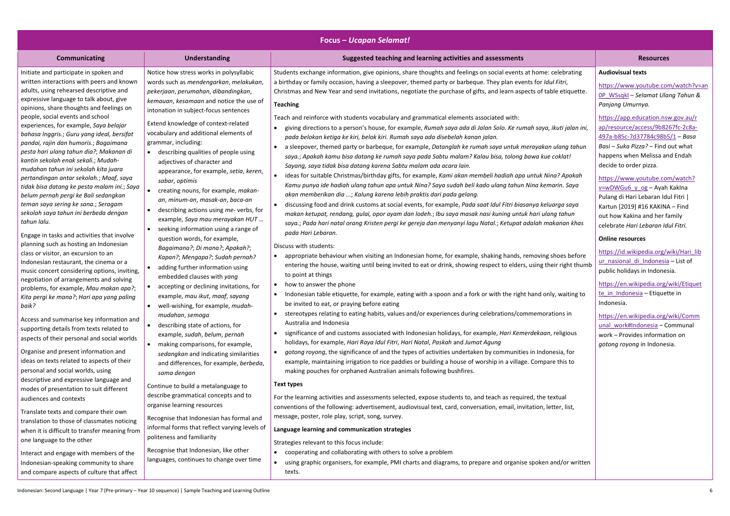| <b>Focus - Ucapan Selamat!</b>                                                                                                                                                                                                                                                                                                                                                                                                                                                                                                                                                                                                                                                                                                                        |                                                                                                                                                                                                                                                                                                                                                                                                                                                                                                                                                                                                               |                                                                                                                                                                                                                                                                                                                                                                                                                                                                                                                                                                                                                                                                                                                                                                                                                                                                                                                                                                                                                                                                                                                                                                                                                                                                                                                                                                                                                                                                                                                                                                                                        |                                                                                                                                                                                                                                                                                                                                                                                                                                                                                                                     |  |
|-------------------------------------------------------------------------------------------------------------------------------------------------------------------------------------------------------------------------------------------------------------------------------------------------------------------------------------------------------------------------------------------------------------------------------------------------------------------------------------------------------------------------------------------------------------------------------------------------------------------------------------------------------------------------------------------------------------------------------------------------------|---------------------------------------------------------------------------------------------------------------------------------------------------------------------------------------------------------------------------------------------------------------------------------------------------------------------------------------------------------------------------------------------------------------------------------------------------------------------------------------------------------------------------------------------------------------------------------------------------------------|--------------------------------------------------------------------------------------------------------------------------------------------------------------------------------------------------------------------------------------------------------------------------------------------------------------------------------------------------------------------------------------------------------------------------------------------------------------------------------------------------------------------------------------------------------------------------------------------------------------------------------------------------------------------------------------------------------------------------------------------------------------------------------------------------------------------------------------------------------------------------------------------------------------------------------------------------------------------------------------------------------------------------------------------------------------------------------------------------------------------------------------------------------------------------------------------------------------------------------------------------------------------------------------------------------------------------------------------------------------------------------------------------------------------------------------------------------------------------------------------------------------------------------------------------------------------------------------------------------|---------------------------------------------------------------------------------------------------------------------------------------------------------------------------------------------------------------------------------------------------------------------------------------------------------------------------------------------------------------------------------------------------------------------------------------------------------------------------------------------------------------------|--|
| <b>Communicating</b>                                                                                                                                                                                                                                                                                                                                                                                                                                                                                                                                                                                                                                                                                                                                  | <b>Understanding</b>                                                                                                                                                                                                                                                                                                                                                                                                                                                                                                                                                                                          | Suggested teaching and learning activities and assessments                                                                                                                                                                                                                                                                                                                                                                                                                                                                                                                                                                                                                                                                                                                                                                                                                                                                                                                                                                                                                                                                                                                                                                                                                                                                                                                                                                                                                                                                                                                                             | <b>Resources</b>                                                                                                                                                                                                                                                                                                                                                                                                                                                                                                    |  |
| Initiate and participate in spoken and<br>written interactions with peers and known<br>adults, using rehearsed descriptive and<br>expressive language to talk about, give<br>opinions, share thoughts and feelings on<br>people, social events and school<br>experiences, for example, Saya belajar<br>bahasa Inggris.; Guru yang ideal, bersifat<br>pandai, rajin dan humoris.; Bagaimana<br>pesta hari ulang tahun dia?; Makanan di<br>kantin sekolah enak sekali.; Mudah-<br>mudahan tahun ini sekolah kita juara<br>pertandingan antar sekolah.; Maaf, saya<br>tidak bisa datang ke pesta malam ini.; Saya<br>belum pernah pergi ke Bali sedangkan<br>teman saya sering ke sana.; Seragam<br>sekolah saya tahun ini berbeda dengan<br>tahun lalu. | Notice how stress works in polysyllabic<br>words such as mendengarkan, melakukan,<br>pekerjaan, perumahan, dibandingkan,<br>kemauan, kesamaan and notice the use of<br>intonation in subject-focus sentences<br>Extend knowledge of context-related<br>vocabulary and additional elements of<br>grammar, including:<br>describing qualities of people using<br>adjectives of character and<br>appearance, for example, setia, keren,<br>sabar, optimis<br>creating nouns, for example, makan-<br>an, minum-an, masak-an, baca-an<br>describing actions using me-verbs, for<br>example, Saya mau merayakan HUT | Students exchange information, give opinions, share thoughts and feelings on social events at home: celebrating<br>a birthday or family occasion, having a sleepover, themed party or barbeque. They plan events for Idul Fitri,<br>Christmas and New Year and send invitations, negotiate the purchase of gifts, and learn aspects of table etiquette.<br><b>Teaching</b><br>Teach and reinforce with students vocabulary and grammatical elements associated with:<br>giving directions to a person's house, for example, Rumah saya ada di Jalan Solo. Ke rumah saya, ikuti jalan ini,<br>pada belokan ketiga ke kiri, belok kiri. Rumah saya ada disebelah kanan jalan.<br>a sleepover, themed party or barbeque, for example, Datanglah ke rumah saya untuk merayakan ulang tahun<br>saya.; Apakah kamu bisa datang ke rumah saya pada Sabtu malam? Kalau bisa, tolong bawa kue coklat!<br>Sayang, saya tidak bisa datang karena Sabtu malam ada acara lain.<br>ideas for suitable Christmas/birthday gifts, for example, Kami akan membeli hadiah apa untuk Nina? Apakah<br>Kamu punya ide hadiah ulang tahun apa untuk Nina? Saya sudah beli kado ulang tahun Nina kemarin. Saya<br>akan memberikan dia ; Kalung karena lebih praktis dari pada gelang.<br>discussing food and drink customs at social events, for example, Pada saat Idul Fitri biasanya keluarga saya<br>makan ketupat, rendang, gulai, opor ayam dan lodeh.; Ibu saya masak nasi kuning untuk hari ulang tahun<br>saya.; Pada hari natal orang Kristen pergi ke gereja dan menyanyi lagu Natal.; Ketupat adalah makanan khas | <b>Audiovisual texts</b><br>https://www.youtube.com/watch?v=an<br>OP WSsqkI - Selamat Ulang Tahun &<br>Panjang Umurnya.<br>https://app.education.nsw.gov.au/r<br>ap/resource/access/9b8267fc-2c8a-<br>497a-b85c-7d37784c98b5/1 - Basa<br>Basi - Suka Pizza? - Find out what<br>happens when Melissa and Endah<br>decide to order pizza.<br>https://www.youtube.com/watch?<br>v=wDWGu6 y og - Ayah Kaklna<br>Pulang di Hari Lebaran Idul Fitri  <br>Kartun [2019] #16 KAKINA - Find<br>out how Kakina and her family |  |
| Engage in tasks and activities that involve<br>planning such as hosting an Indonesian<br>class or visitor, an excursion to an<br>Indonesian restaurant, the cinema or a<br>music concert considering options, inviting,<br>negotiation of arrangements and solving<br>problems, for example, Mau makan apa?;<br>Kita pergi ke mana?; Hari apa yang paling<br>baik?<br>Access and summarise key information and<br>supporting details from texts related to<br>aspects of their personal and social worlds<br>Organise and present information and<br>ideas on texts related to aspects of their<br>personal and social worlds, using                                                                                                                  | seeking information using a range of<br>$\bullet$<br>question words, for example,<br>Bagaimana?; Di mana?; Apakah?;<br>Kapan?; Mengapa?; Sudah pernah?<br>adding further information using<br>embedded clauses with yang<br>accepting or declining invitations, for<br>example, mau ikut, maaf, sayang<br>well-wishing, for example, mudah-<br>mudahan, semoga<br>describing state of actions, for<br>$\bullet$<br>example, sudah, belum, pernah<br>making comparisons, for example,<br>$\bullet$<br>sedangkan and indicating similarities<br>and differences, for example, berbeda,<br>sama dengan           | pada Hari Lebaran.<br>Discuss with students:<br>• appropriate behaviour when visiting an Indonesian home, for example, shaking hands, removing shoes before<br>entering the house, waiting until being invited to eat or drink, showing respect to elders, using their right thumb<br>to point at things<br>how to answer the phone<br>Indonesian table etiquette, for example, eating with a spoon and a fork or with the right hand only, waiting to<br>be invited to eat, or praying before eating<br>• stereotypes relating to eating habits, values and/or experiences during celebrations/commemorations in<br>Australia and Indonesia<br>significance of and customs associated with Indonesian holidays, for example, Hari Kemerdekaan, religious<br>holidays, for example, Hari Raya Idul Fitri, Hari Natal, Paskah and Jumat Agung<br>gotong royong, the significance of and the types of activities undertaken by communities in Indonesia, for<br>example, maintaining irrigation to rice paddies or building a house of worship in a village. Compare this to<br>making pouches for orphaned Australian animals following bushfires.                                                                                                                                                                                                                                                                                                                                                                                                                                                      | celebrate Hari Lebaran Idul Fitri.<br><b>Online resources</b><br>https://id.wikipedia.org/wiki/Hari lib<br>ur_nasional_di_Indonesia - List of<br>public holidays in Indonesia.<br>https://en.wikipedia.org/wiki/Etiquet<br>te in Indonesia - Etiquette in<br>Indonesia.<br>https://en.wikipedia.org/wiki/Comm<br>unal work#Indonesia - Communal<br>work - Provides information on<br>gotong royong in Indonesia.                                                                                                    |  |
| descriptive and expressive language and<br>modes of presentation to suit different<br>audiences and contexts<br>Translate texts and compare their own<br>translation to those of classmates noticing<br>when it is difficult to transfer meaning from<br>one language to the other<br>Interact and engage with members of the<br>Indonesian-speaking community to share<br>and compare aspects of culture that affect                                                                                                                                                                                                                                                                                                                                 | Continue to build a metalanguage to<br>describe grammatical concepts and to<br>organise learning resources<br>Recognise that Indonesian has formal and<br>informal forms that reflect varying levels of<br>politeness and familiarity<br>Recognise that Indonesian, like other<br>languages, continues to change over time                                                                                                                                                                                                                                                                                    | <b>Text types</b><br>For the learning activities and assessments selected, expose students to, and teach as required, the textual<br>conventions of the following: advertisement, audiovisual text, card, conversation, email, invitation, letter, list,<br>message, poster, role play, script, song, survey.<br>Language learning and communication strategies<br>Strategies relevant to this focus include:<br>• cooperating and collaborating with others to solve a problem<br>using graphic organisers, for example, PMI charts and diagrams, to prepare and organise spoken and/or written<br>texts.                                                                                                                                                                                                                                                                                                                                                                                                                                                                                                                                                                                                                                                                                                                                                                                                                                                                                                                                                                                             |                                                                                                                                                                                                                                                                                                                                                                                                                                                                                                                     |  |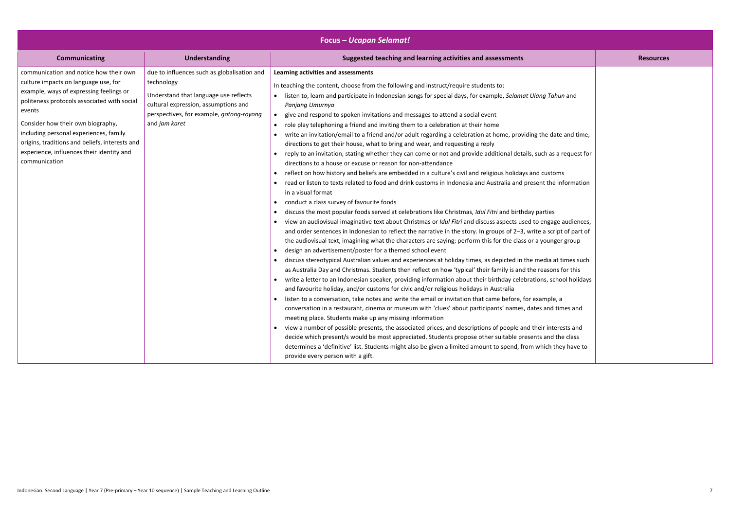| <b>Communicating</b><br><b>Understanding</b><br>Suggested teaching and learning activities and assessments<br>communication and notice how their own<br>due to influences such as globalisation and<br>Learning activities and assessments<br>culture impacts on language use, for<br>technology<br>In teaching the content, choose from the following and instruct/require students to:<br>example, ways of expressing feelings or<br>Understand that language use reflects<br>listen to, learn and participate in Indonesian songs for special days, for example, Selamat Ulang Tahun and<br>politeness protocols associated with social<br>cultural expression, assumptions and<br>Panjang Umurnya<br>events<br>perspectives, for example, gotong-royong<br>give and respond to spoken invitations and messages to attend a social event<br>and jam karet<br>Consider how their own biography,<br>role play telephoning a friend and inviting them to a celebration at their home<br>including personal experiences, family<br>write an invitation/email to a friend and/or adult regarding a celebration at home, providing the date and time,<br>origins, traditions and beliefs, interests and<br>directions to get their house, what to bring and wear, and requesting a reply<br>experience, influences their identity and<br>reply to an invitation, stating whether they can come or not and provide additional details, such as a request for<br>communication<br>directions to a house or excuse or reason for non-attendance<br>reflect on how history and beliefs are embedded in a culture's civil and religious holidays and customs<br>read or listen to texts related to food and drink customs in Indonesia and Australia and present the information<br>in a visual format<br>conduct a class survey of favourite foods<br>discuss the most popular foods served at celebrations like Christmas, Idul Fitri and birthday parties<br>view an audiovisual imaginative text about Christmas or Idul Fitri and discuss aspects used to engage audiences,<br>and order sentences in Indonesian to reflect the narrative in the story. In groups of 2-3, write a script of part of<br>the audiovisual text, imagining what the characters are saying; perform this for the class or a younger group<br>design an advertisement/poster for a themed school event<br>discuss stereotypical Australian values and experiences at holiday times, as depicted in the media at times such<br>$\bullet$<br>as Australia Day and Christmas. Students then reflect on how 'typical' their family is and the reasons for this<br>write a letter to an Indonesian speaker, providing information about their birthday celebrations, school holidays<br>and favourite holiday, and/or customs for civic and/or religious holidays in Australia<br>listen to a conversation, take notes and write the email or invitation that came before, for example, a<br>conversation in a restaurant, cinema or museum with 'clues' about participants' names, dates and times and<br>meeting place. Students make up any missing information<br>view a number of possible presents, the associated prices, and descriptions of people and their interests and | <b>Focus - Ucapan Selamat!</b> |  |  |                  |
|-------------------------------------------------------------------------------------------------------------------------------------------------------------------------------------------------------------------------------------------------------------------------------------------------------------------------------------------------------------------------------------------------------------------------------------------------------------------------------------------------------------------------------------------------------------------------------------------------------------------------------------------------------------------------------------------------------------------------------------------------------------------------------------------------------------------------------------------------------------------------------------------------------------------------------------------------------------------------------------------------------------------------------------------------------------------------------------------------------------------------------------------------------------------------------------------------------------------------------------------------------------------------------------------------------------------------------------------------------------------------------------------------------------------------------------------------------------------------------------------------------------------------------------------------------------------------------------------------------------------------------------------------------------------------------------------------------------------------------------------------------------------------------------------------------------------------------------------------------------------------------------------------------------------------------------------------------------------------------------------------------------------------------------------------------------------------------------------------------------------------------------------------------------------------------------------------------------------------------------------------------------------------------------------------------------------------------------------------------------------------------------------------------------------------------------------------------------------------------------------------------------------------------------------------------------------------------------------------------------------------------------------------------------------------------------------------------------------------------------------------------------------------------------------------------------------------------------------------------------------------------------------------------------------------------------------------------------------------------------------------------------------------------------------------------------------------------------------------------------------------------------------------------------------------------------------------------------------------------------------------------|--------------------------------|--|--|------------------|
|                                                                                                                                                                                                                                                                                                                                                                                                                                                                                                                                                                                                                                                                                                                                                                                                                                                                                                                                                                                                                                                                                                                                                                                                                                                                                                                                                                                                                                                                                                                                                                                                                                                                                                                                                                                                                                                                                                                                                                                                                                                                                                                                                                                                                                                                                                                                                                                                                                                                                                                                                                                                                                                                                                                                                                                                                                                                                                                                                                                                                                                                                                                                                                                                                                                       |                                |  |  | <b>Resources</b> |
| decide which present/s would be most appreciated. Students propose other suitable presents and the class<br>determines a 'definitive' list. Students might also be given a limited amount to spend, from which they have to<br>provide every person with a gift.                                                                                                                                                                                                                                                                                                                                                                                                                                                                                                                                                                                                                                                                                                                                                                                                                                                                                                                                                                                                                                                                                                                                                                                                                                                                                                                                                                                                                                                                                                                                                                                                                                                                                                                                                                                                                                                                                                                                                                                                                                                                                                                                                                                                                                                                                                                                                                                                                                                                                                                                                                                                                                                                                                                                                                                                                                                                                                                                                                                      |                                |  |  |                  |

|                                                       | <b>Resources</b> |
|-------------------------------------------------------|------------------|
| ahun and                                              |                  |
| date and time,                                        |                  |
| s a request for                                       |                  |
| :oms<br>e information                                 |                  |
| S<br>age audiences,<br>cript of part of<br>nger group |                  |
| at times such<br>ons for this<br>chool holidays       |                  |
| le, a<br>d times and                                  |                  |
| terests and<br>d the class<br>they have to            |                  |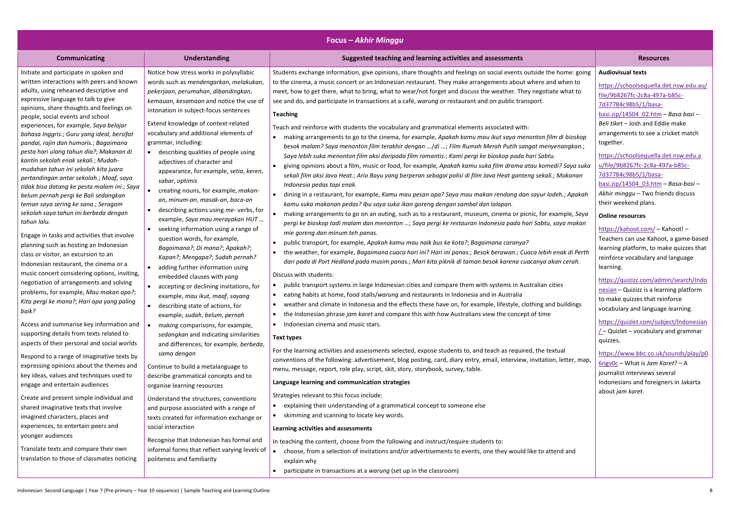| <b>Focus - Akhir Minggu</b>                                                                                                                                                                                                                                                                                                                                                                                                                                                                                                                                                                                                                        |                                                                                                                                                                                                                                                                                                                                                                                                                                                                                                                                                                     |                                                                                                                                                                                                                                                                                                                                                                                                                                                                                                                                                                                                                                                                                                                                                                                                                                                                                                                                                                                                                                                                                                                                                                                                                                                                                  |                                                                                                                                                                                                                                                                                                                                                                                                                                                                                          |  |
|----------------------------------------------------------------------------------------------------------------------------------------------------------------------------------------------------------------------------------------------------------------------------------------------------------------------------------------------------------------------------------------------------------------------------------------------------------------------------------------------------------------------------------------------------------------------------------------------------------------------------------------------------|---------------------------------------------------------------------------------------------------------------------------------------------------------------------------------------------------------------------------------------------------------------------------------------------------------------------------------------------------------------------------------------------------------------------------------------------------------------------------------------------------------------------------------------------------------------------|----------------------------------------------------------------------------------------------------------------------------------------------------------------------------------------------------------------------------------------------------------------------------------------------------------------------------------------------------------------------------------------------------------------------------------------------------------------------------------------------------------------------------------------------------------------------------------------------------------------------------------------------------------------------------------------------------------------------------------------------------------------------------------------------------------------------------------------------------------------------------------------------------------------------------------------------------------------------------------------------------------------------------------------------------------------------------------------------------------------------------------------------------------------------------------------------------------------------------------------------------------------------------------|------------------------------------------------------------------------------------------------------------------------------------------------------------------------------------------------------------------------------------------------------------------------------------------------------------------------------------------------------------------------------------------------------------------------------------------------------------------------------------------|--|
| <b>Communicating</b>                                                                                                                                                                                                                                                                                                                                                                                                                                                                                                                                                                                                                               | <b>Understanding</b>                                                                                                                                                                                                                                                                                                                                                                                                                                                                                                                                                | Suggested teaching and learning activities and assessments                                                                                                                                                                                                                                                                                                                                                                                                                                                                                                                                                                                                                                                                                                                                                                                                                                                                                                                                                                                                                                                                                                                                                                                                                       | <b>Resources</b>                                                                                                                                                                                                                                                                                                                                                                                                                                                                         |  |
| Initiate and participate in spoken and<br>written interactions with peers and known<br>adults, using rehearsed descriptive and<br>expressive language to talk to give<br>opinions, share thoughts and feelings on<br>people, social events and school<br>experiences, for example, Saya belajar<br>bahasa Inggris.; Guru yang ideal, bersifat<br>pandai, rajin dan humoris.; Bagaimana<br>pesta hari ulang tahun dia?; Makanan di<br>kantin sekolah enak sekali.; Mudah-<br>mudahan tahun ini sekolah kita juara<br>pertandingan antar sekolah.; Maaf, saya<br>tidak bisa datang ke pesta malam ini.; Saya<br>belum pernah pergi ke Bali sedangkan | Notice how stress works in polysyllabic<br>words such as mendengarkan, melakukan,<br>pekerjaan, perumahan, dibandingkan,<br>kemauan, kesamaan and notice the use of<br>intonation in subject-focus sentences<br>Extend knowledge of context-related<br>vocabulary and additional elements of<br>grammar, including:<br>describing qualities of people using<br>adjectives of character and<br>appearance, for example, setia, keren,<br>sabar, optimis<br>creating nouns, for example, makan-<br>an, minum-an, masak-an, baca-an                                    | Students exchange information, give opinions, share thoughts and feelings on social events outside the home: going<br>to the cinema, a music concert or an Indonesian restaurant. They make arrangements about where and when to<br>meet, how to get there, what to bring, what to wear/not forget and discuss the weather. They negotiate what to<br>see and do, and participate in transactions at a café, warung or restaurant and on public transport.<br><b>Teaching</b><br>Teach and reinforce with students the vocabulary and grammatical elements associated with:<br>making arrangements to go to the cinema, for example, Apakah kamu mau ikut saya menonton film di bioskop<br>besok malam? Saya menonton film terakhir dengan  /di ; Film Rumah Merah Putih sangat menyenangkan.;<br>Saya lebih suka menonton film aksi daripada film romantis.; Kami pergi ke bioskop pada hari Sabtu.<br>giving opinions about a film, music or food, for example, Apakah kamu suka film drama atau komedi? Saya suka<br>sekali film aksi Java Heat.; Ario Bayu yang berperan sebagai polisi di film Java Heat ganteng sekali.; Makanan<br>Indonesia pedas tapi enak.<br>dining in a restaurant, for example, Kamu mau pesan apa? Saya mau makan rendang dan sayur lodeh.; Apakah | <b>Audiovisual texts</b><br>https://schoolsequella.det.nsw.edu.au/<br>file/9b8267fc-2c8a-497a-b85c-<br>7d37784c98b5/1/basa-<br>basi.zip/14504 02.htm - Basa basi -<br>Beli tiket - Josh and Eddie make<br>arrangements to see a cricket match<br>together.<br>https://schoolsequella.det.nsw.edu.a<br>u/file/9b8267fc-2c8a-497a-b85c-<br>7d37784c98b5/1/basa-<br>basi.zip/14504 03.htm - Basa-basi -<br>Akhir minggu - Two friends discuss                                               |  |
| teman saya sering ke sana.; Seragam<br>sekolah saya tahun ini berbeda dengan<br>tahun lalu.<br>Engage in tasks and activities that involve<br>planning such as hosting an Indonesian<br>class or visitor, an excursion to an<br>Indonesian restaurant, the cinema or a<br>music concert considering options, inviting,<br>negotiation of arrangements and solving<br>problems, for example, Mau makan apa?;<br>Kita pergi ke mana?; Hari apa yang paling<br>baik?<br>Access and summarise key information and<br>supporting details from texts related to<br>aspects of their personal and social worlds                                           | describing actions using me- verbs, for<br>example, Saya mau merayakan HUT<br>seeking information using a range of<br>question words, for example,<br>Bagaimana?; Di mana?; Apakah?;<br>Kapan?; Mengapa?; Sudah pernah?<br>adding further information using<br>embedded clauses with yang<br>accepting or declining invitations, for<br>example, mau ikut, maaf, sayang<br>describing state of actions, for<br>example, sudah, belum, pernah<br>making comparisons, for example,<br>sedangkan and indicating similarities<br>and differences, for example, berbeda, | kamu suka makanan pedas? Ibu saya suka ikan goreng dengan sambal dan lalapan.<br>making arrangements to go on an outing, such as to a restaurant, museum, cinema or picnic, for example, Saya<br>pergi ke bioskop tadi malam dan menonton ; Saya pergi ke restauran Indonesia pada hari Sabtu, saya makan<br>mie goreng dan minum teh panas.<br>public transport, for example, Apakah kamu mau naik bus ke kota?; Bagaimana caranya?<br>the weather, for example, Bagaimana cuaca hari ini? Hari ini panas.; Besok berawan.; Cuaca lebih enak di Perth<br>dari pada di Port Hedland pada musim panas.; Mari kita piknik di taman besok karena cuacanya akan cerah.<br>Discuss with students:<br>public transport systems in large Indonesian cities and compare them with systems in Australian cities<br>eating habits at home, food stalls/warung and restaurants in Indonesia and in Australia<br>weather and climate in Indonesia and the effects these have on, for example, lifestyle, clothing and buildings<br>$\bullet$<br>the Indonesian phrase jam karet and compare this with how Australians view the concept of time<br>Indonesian cinema and music stars.<br><b>Text types</b>                                                                                    | their weekend plans.<br><b>Online resources</b><br>https://kahoot.com/ - Kahoot! -<br>Teachers can use Kahoot, a game-based<br>learning platform, to make quizzes that<br>reinforce vocabulary and language<br>learning.<br>https://quizizz.com/admin/search/Indo<br>nesian - Quizizz is a learning platform<br>to make quizzes that reinforce<br>vocabulary and language learning.<br>https://quizlet.com/subject/Indonesian<br>$\angle$ - Quizlet - vocabulary and grammar<br>quizzes. |  |
| Respond to a range of imaginative texts by<br>expressing opinions about the themes and<br>key ideas, values and techniques used to<br>engage and entertain audiences                                                                                                                                                                                                                                                                                                                                                                                                                                                                               | sama dengan<br>Continue to build a metalanguage to<br>describe grammatical concepts and to<br>organise learning resources                                                                                                                                                                                                                                                                                                                                                                                                                                           | For the learning activities and assessments selected, expose students to, and teach as required, the textual<br>conventions of the following: advertisement, blog posting, card, diary entry, email, interview, invitation, letter, map,<br>menu, message, report, role play, script, skit, story, storybook, survey, table.<br>Language learning and communication strategies                                                                                                                                                                                                                                                                                                                                                                                                                                                                                                                                                                                                                                                                                                                                                                                                                                                                                                   | https://www.bbc.co.uk/sounds/play/p0<br>6ngv0c – What is Jam Karet? – A<br>journalist interviews several<br>Indonesians and foreigners in Jakarta<br>about jam karet.                                                                                                                                                                                                                                                                                                                    |  |
| Create and present simple individual and<br>shared imaginative texts that involve<br>imagined characters, places and<br>experiences, to entertain peers and<br>younger audiences<br>Translate texts and compare their own<br>translation to those of classmates noticing                                                                                                                                                                                                                                                                                                                                                                           | Understand the structures, conventions<br>and purpose associated with a range of<br>texts created for information exchange or<br>social interaction<br>Recognise that Indonesian has formal and<br>informal forms that reflect varying levels of<br>politeness and familiarity                                                                                                                                                                                                                                                                                      | Strategies relevant to this focus include:<br>explaining their understanding of a grammatical concept to someone else<br>skimming and scanning to locate key words.<br>Learning activities and assessments<br>In teaching the content, choose from the following and instruct/require students to:<br>choose, from a selection of invitations and/or advertisements to events, one they would like to attend and<br>explain why                                                                                                                                                                                                                                                                                                                                                                                                                                                                                                                                                                                                                                                                                                                                                                                                                                                  |                                                                                                                                                                                                                                                                                                                                                                                                                                                                                          |  |
|                                                                                                                                                                                                                                                                                                                                                                                                                                                                                                                                                                                                                                                    |                                                                                                                                                                                                                                                                                                                                                                                                                                                                                                                                                                     | participate in transactions at a warung (set up in the classroom)                                                                                                                                                                                                                                                                                                                                                                                                                                                                                                                                                                                                                                                                                                                                                                                                                                                                                                                                                                                                                                                                                                                                                                                                                |                                                                                                                                                                                                                                                                                                                                                                                                                                                                                          |  |